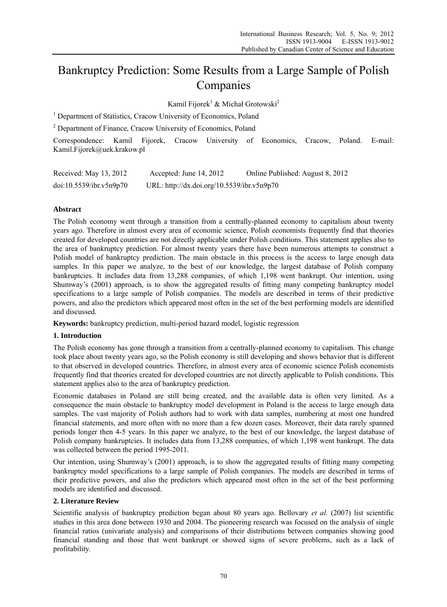# Bankruptcy Prediction: Some Results from a Large Sample of Polish Companies

Kamil Fijorek<sup>1</sup> & Michał Grotowski<sup>2</sup>

<sup>1</sup> Department of Statistics, Cracow University of Economics, Poland

<sup>2</sup> Department of Finance, Cracow University of Economics, Poland

Correspondence: Kamil Fijorek, Cracow University of Economics, Cracow, Poland. E-mail: Kamil.Fijorek@uek.krakow.pl

| Received: May 13, 2012  | Accepted: June $14, 2012$                  | Online Published: August 8, 2012 |
|-------------------------|--------------------------------------------|----------------------------------|
| doi:10.5539/ibr.v5n9p70 | URL: http://dx.doi.org/10.5539/ibr.v5n9p70 |                                  |

# **Abstract**

The Polish economy went through a transition from a centrally-planned economy to capitalism about twenty years ago. Therefore in almost every area of economic science, Polish economists frequently find that theories created for developed countries are not directly applicable under Polish conditions. This statement applies also to the area of bankruptcy prediction. For almost twenty years there have been numerous attempts to construct a Polish model of bankruptcy prediction. The main obstacle in this process is the access to large enough data samples. In this paper we analyze, to the best of our knowledge, the largest database of Polish company bankruptcies. It includes data from 13,288 companies, of which 1,198 went bankrupt. Our intention, using Shumway's (2001) approach, is to show the aggregated results of fitting many competing bankruptcy model specifications to a large sample of Polish companies. The models are described in terms of their predictive powers, and also the predictors which appeared most often in the set of the best performing models are identified and discussed.

**Keywords:** bankruptcy prediction, multi-period hazard model, logistic regression

# **1. Introduction**

The Polish economy has gone through a transition from a centrally-planned economy to capitalism. This change took place about twenty years ago, so the Polish economy is still developing and shows behavior that is different to that observed in developed countries. Therefore, in almost every area of economic science Polish economists frequently find that theories created for developed countries are not directly applicable to Polish conditions. This statement applies also to the area of bankruptcy prediction.

Economic databases in Poland are still being created, and the available data is often very limited. As a consequence the main obstacle to bankruptcy model development in Poland is the access to large enough data samples. The vast majority of Polish authors had to work with data samples, numbering at most one hundred financial statements, and more often with no more than a few dozen cases. Moreover, their data rarely spanned periods longer then 4-5 years. In this paper we analyze, to the best of our knowledge, the largest database of Polish company bankruptcies. It includes data from 13,288 companies, of which 1,198 went bankrupt. The data was collected between the period 1995-2011.

Our intention, using Shumway's (2001) approach, is to show the aggregated results of fitting many competing bankruptcy model specifications to a large sample of Polish companies. The models are described in terms of their predictive powers, and also the predictors which appeared most often in the set of the best performing models are identified and discussed.

# **2. Literature Review**

Scientific analysis of bankruptcy prediction began about 80 years ago. Bellovary *et al.* (2007) list scientific studies in this area done between 1930 and 2004. The pioneering research was focused on the analysis of single financial ratios (univariate analysis) and comparisons of their distributions between companies showing good financial standing and those that went bankrupt or showed signs of severe problems, such as a lack of profitability.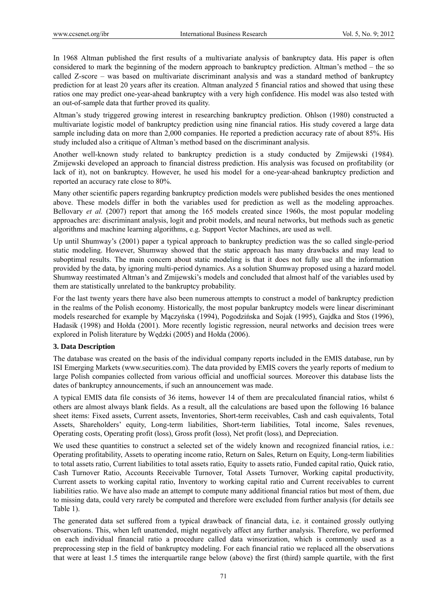In 1968 Altman published the first results of a multivariate analysis of bankruptcy data. His paper is often considered to mark the beginning of the modern approach to bankruptcy prediction. Altman's method – the so called Z-score – was based on multivariate discriminant analysis and was a standard method of bankruptcy prediction for at least 20 years after its creation. Altman analyzed 5 financial ratios and showed that using these ratios one may predict one-year-ahead bankruptcy with a very high confidence. His model was also tested with an out-of-sample data that further proved its quality.

Altman's study triggered growing interest in researching bankruptcy prediction. Ohlson (1980) constructed a multivariate logistic model of bankruptcy prediction using nine financial ratios. His study covered a large data sample including data on more than 2,000 companies. He reported a prediction accuracy rate of about 85%. His study included also a critique of Altman's method based on the discriminant analysis.

Another well-known study related to bankruptcy prediction is a study conducted by Zmijewski (1984). Zmijewski developed an approach to financial distress prediction. His analysis was focused on profitability (or lack of it), not on bankruptcy. However, he used his model for a one-year-ahead bankruptcy prediction and reported an accuracy rate close to 80%.

Many other scientific papers regarding bankruptcy prediction models were published besides the ones mentioned above. These models differ in both the variables used for prediction as well as the modeling approaches. Bellovary *et al.* (2007) report that among the 165 models created since 1960s, the most popular modeling approaches are: discriminant analysis, logit and probit models, and neural networks, but methods such as genetic algorithms and machine learning algorithms, e.g. Support Vector Machines, are used as well.

Up until Shumway's (2001) paper a typical approach to bankruptcy prediction was the so called single-period static modeling. However, Shumway showed that the static approach has many drawbacks and may lead to suboptimal results. The main concern about static modeling is that it does not fully use all the information provided by the data, by ignoring multi-period dynamics. As a solution Shumway proposed using a hazard model. Shumway reestimated Altman's and Zmijewski's models and concluded that almost half of the variables used by them are statistically unrelated to the bankruptcy probability.

For the last twenty years there have also been numerous attempts to construct a model of bankruptcy prediction in the realms of the Polish economy. Historically, the most popular bankruptcy models were linear discriminant models researched for example by Mączyńska (1994), Pogodzińska and Sojak (1995), Gajdka and Stos (1996), Hadasik (1998) and Hołda (2001). More recently logistic regression, neural networks and decision trees were explored in Polish literature by Wędzki (2005) and Hołda (2006).

# **3. Data Description**

The database was created on the basis of the individual company reports included in the EMIS database, run by ISI Emerging Markets (www.securities.com). The data provided by EMIS covers the yearly reports of medium to large Polish companies collected from various official and unofficial sources. Moreover this database lists the dates of bankruptcy announcements, if such an announcement was made.

A typical EMIS data file consists of 36 items, however 14 of them are precalculated financial ratios, whilst 6 others are almost always blank fields. As a result, all the calculations are based upon the following 16 balance sheet items: Fixed assets, Current assets, Inventories, Short-term receivables, Cash and cash equivalents, Total Assets, Shareholders' equity, Long-term liabilities, Short-term liabilities, Total income, Sales revenues, Operating costs, Operating profit (loss), Gross profit (loss), Net profit (loss), and Depreciation.

We used these quantities to construct a selected set of the widely known and recognized financial ratios, i.e.: Operating profitability, Assets to operating income ratio, Return on Sales, Return on Equity, Long-term liabilities to total assets ratio, Current liabilities to total assets ratio, Equity to assets ratio, Funded capital ratio, Quick ratio, Cash Turnover Ratio, Accounts Receivable Turnover, Total Assets Turnover, Working capital productivity, Current assets to working capital ratio, Inventory to working capital ratio and Current receivables to current liabilities ratio. We have also made an attempt to compute many additional financial ratios but most of them, due to missing data, could very rarely be computed and therefore were excluded from further analysis (for details see Table 1).

The generated data set suffered from a typical drawback of financial data, i.e. it contained grossly outlying observations. This, when left unattended, might negatively affect any further analysis. Therefore, we performed on each individual financial ratio a procedure called data winsorization, which is commonly used as a preprocessing step in the field of bankruptcy modeling. For each financial ratio we replaced all the observations that were at least 1.5 times the interquartile range below (above) the first (third) sample quartile, with the first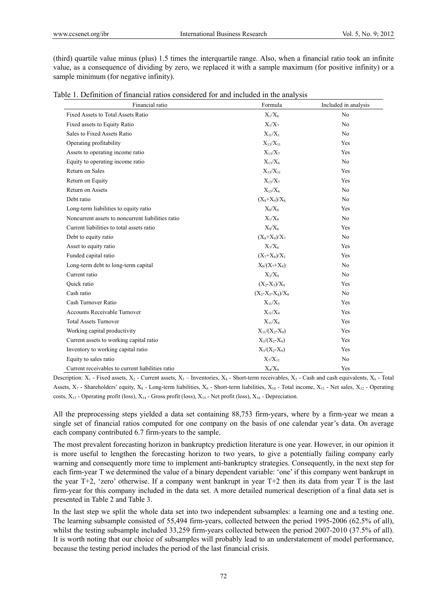(third) quartile value minus (plus) 1.5 times the interquartile range. Also, when a financial ratio took an infinite value, as a consequence of dividing by zero, we replaced it with a sample maximum (for positive infinity) or a sample minimum (for negative infinity).

|  |  | Table 1. Definition of financial ratios considered for and included in the analysis |  |  |
|--|--|-------------------------------------------------------------------------------------|--|--|
|  |  |                                                                                     |  |  |

| Financial ratio                                   | Formula             | Included in analysis |
|---------------------------------------------------|---------------------|----------------------|
| Fixed Assets to Total Assets Ratio                | $X_1/X_6$           | N <sub>0</sub>       |
| Fixed assets to Equity Ratio                      | $X_1/X_7$           | N <sub>0</sub>       |
| Sales to Fixed Assets Ratio                       | $X_{11}/X_1$        | N <sub>0</sub>       |
| Operating profitability                           | $X_{13}/X_{11}$     | Yes                  |
| Assets to operating income ratio                  | $X_{13}/X_7$        | Yes                  |
| Equity to operating income ratio                  | $X_{13}/X_6$        | N <sub>0</sub>       |
| Return on Sales                                   | $X_{15}/X_{11}$     | Yes                  |
| Return on Equity                                  | $X_1 \frac{5}{X_7}$ | Yes                  |
| <b>Return on Assets</b>                           | $X_{15}/X_6$        | N <sub>o</sub>       |
| Debt ratio                                        | $(X_8+X_9)/X_6$     | N <sub>0</sub>       |
| Long-term liabilities to equity ratio             | $X_8/X_6$           | Yes                  |
| Noncurrent assets to noncurrent liabilities ratio | $X_1/X_8$           | N <sub>o</sub>       |
| Current liabilities to total assets ratio         | $X_9/X_6$           | Yes                  |
| Debt to equity ratio                              | $(X_8+X_9)/X_7$     | N <sub>o</sub>       |
| Asset to equity ratio                             | $X_7/X_6$           | Yes                  |
| Funded capital ratio                              | $(X_7+X_8)/X_1$     | Yes                  |
| Long-term debt to long-term capital               | $X_8/(X_7+X_8)$     | N <sub>0</sub>       |
| Current ratio                                     | $X_2/X_9$           | N <sub>0</sub>       |
| Quick ratio                                       | $(X_2-X_3)/X_9$     | Yes                  |
| Cash ratio                                        | $(X_2-X_3-X_4)/X_9$ | N <sub>0</sub>       |
| Cash Turnover Ratio                               | $X_{11}/X_5$        | Yes                  |
| Accounts Receivable Turnover                      | $X_{11}/X_4$        | Yes                  |
| <b>Total Assets Turnover</b>                      | $X_{11}/X_6$        | Yes                  |
| Working capital productivity                      | $X_{11}/(X_2-X_9)$  | Yes                  |
| Current assets to working capital ratio           | $X_2/(X_2-X_9)$     | Yes                  |
| Inventory to working capital ratio                | $X_3/(X_2-X_9)$     | Yes                  |
| Equity to sales ratio                             | $X_7/X_{11}$        | N <sub>0</sub>       |
| Current receivables to current liabilities ratio  | $X_4/X_9$           | Yes                  |

Description:  $X_1$  - Fixed assets,  $X_2$  - Current assets,  $X_3$  – Inventories,  $X_4$  - Short-term receivables,  $X_5$  - Cash and cash equivalents,  $X_6$  - Total Assets,  $X_7$  - Shareholders' equity,  $X_8$  - Long-term liabilities,  $X_9$  - Short-term liabilities,  $X_{10}$  - Total income,  $X_{11}$  - Net sales,  $X_{12}$  - Operating costs,  $X_{13}$  - Operating profit (loss),  $X_{14}$  - Gross profit (loss),  $X_{15}$  - Net profit (loss),  $X_{16}$  - Depreciation.

All the preprocessing steps yielded a data set containing 88,753 firm-years, where by a firm-year we mean a single set of financial ratios computed for one company on the basis of one calendar year's data. On average each company contributed 6.7 firm-years to the sample.

The most prevalent forecasting horizon in bankruptcy prediction literature is one year. However, in our opinion it is more useful to lengthen the forecasting horizon to two years, to give a potentially failing company early warning and consequently more time to implement anti-bankruptcy strategies. Consequently, in the next step for each firm-year T we determined the value of a binary dependent variable: 'one' if this company went bankrupt in the year T+2, 'zero' otherwise. If a company went bankrupt in year T+2 then its data from year T is the last firm-year for this company included in the data set. A more detailed numerical description of a final data set is presented in Table 2 and Table 3.

In the last step we split the whole data set into two independent subsamples: a learning one and a testing one. The learning subsample consisted of 55,494 firm-years, collected between the period 1995-2006 (62.5% of all), whilst the testing subsample included 33,259 firm-years collected between the period 2007-2010 (37.5% of all). It is worth noting that our choice of subsamples will probably lead to an understatement of model performance, because the testing period includes the period of the last financial crisis.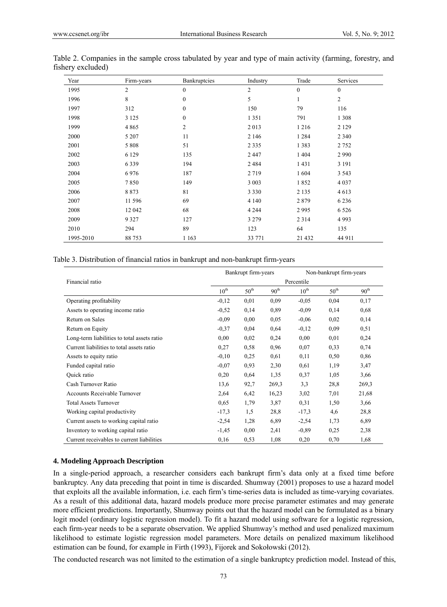| Year      | Firm-years | Bankruptcies     | Industry       | Trade        | Services       |
|-----------|------------|------------------|----------------|--------------|----------------|
| 1995      | 2          | $\boldsymbol{0}$ | $\overline{2}$ | $\mathbf{0}$ | $\mathbf{0}$   |
| 1996      | 8          | $\boldsymbol{0}$ | 5              | 1            | $\overline{c}$ |
| 1997      | 312        | $\boldsymbol{0}$ | 150            | 79           | 116            |
| 1998      | 3 1 2 5    | $\boldsymbol{0}$ | 1 3 5 1        | 791          | 1 3 0 8        |
| 1999      | 4865       | $\overline{2}$   | 2013           | 1 2 1 6      | 2 1 2 9        |
| 2000      | 5 207      | 11               | 2 1 4 6        | 1 2 8 4      | 2 3 4 0        |
| 2001      | 5 8 0 8    | 51               | 2 3 3 5        | 1383         | 2752           |
| 2002      | 6 1 2 9    | 135              | 2 4 4 7        | 1 4 0 4      | 2990           |
| 2003      | 6339       | 194              | 2484           | 1431         | 3 1 9 1        |
| 2004      | 6976       | 187              | 2 7 1 9        | 1604         | 3 5 4 3        |
| 2005      | 7850       | 149              | 3 0 0 3        | 1852         | 4 0 3 7        |
| 2006      | 8873       | 81               | 3 3 3 0        | 2 1 3 5      | 4613           |
| 2007      | 11 596     | 69               | 4 1 4 0        | 2879         | 6 2 3 6        |
| 2008      | 12 042     | 68               | 4 2 4 4        | 2995         | 6 5 2 6        |
| 2009      | 9 3 2 7    | 127              | 3 2 7 9        | 2 3 1 4      | 4993           |
| 2010      | 294        | 89               | 123            | 64           | 135            |
| 1995-2010 | 88 753     | 1 1 6 3          | 33 771         | 21 4 32      | 44 911         |

| Table 2. Companies in the sample cross tabulated by year and type of main activity (farming, forestry, and |  |  |  |  |  |  |  |
|------------------------------------------------------------------------------------------------------------|--|--|--|--|--|--|--|
| fishery excluded)                                                                                          |  |  |  |  |  |  |  |

Table 3. Distribution of financial ratios in bankrupt and non-bankrupt firm-years

|                                             |                  | Bankrupt firm-years | Non-bankrupt firm-years |                  |                  |                  |
|---------------------------------------------|------------------|---------------------|-------------------------|------------------|------------------|------------------|
| Financial ratio                             |                  |                     |                         | Percentile       |                  |                  |
|                                             | $10^{\text{th}}$ | $50^{\text{th}}$    | 90 <sup>th</sup>        | $10^{\text{th}}$ | $50^{\text{th}}$ | 90 <sup>th</sup> |
| Operating profitability                     | $-0,12$          | 0,01                | 0,09                    | $-0,05$          | 0,04             | 0,17             |
| Assets to operating income ratio            | $-0,52$          | 0,14                | 0.89                    | $-0.09$          | 0.14             | 0.68             |
| Return on Sales                             | $-0.09$          | 0.00                | 0.05                    | $-0,06$          | 0,02             | 0,14             |
| Return on Equity                            | $-0,37$          | 0,04                | 0,64                    | $-0,12$          | 0,09             | 0,51             |
| Long-term liabilities to total assets ratio | 0,00             | 0,02                | 0,24                    | 0,00             | 0,01             | 0,24             |
| Current liabilities to total assets ratio   | 0,27             | 0,58                | 0,96                    | 0,07             | 0,33             | 0,74             |
| Assets to equity ratio                      | $-0,10$          | 0,25                | 0,61                    | 0,11             | 0,50             | 0,86             |
| Funded capital ratio                        | $-0.07$          | 0.93                | 2,30                    | 0,61             | 1,19             | 3,47             |
| Quick ratio                                 | 0,20             | 0,64                | 1,35                    | 0,37             | 1,05             | 3,66             |
| Cash Turnover Ratio                         | 13,6             | 92,7                | 269,3                   | 3,3              | 28,8             | 269,3            |
| <b>Accounts Receivable Turnover</b>         | 2,64             | 6,42                | 16,23                   | 3,02             | 7,01             | 21,68            |
| <b>Total Assets Turnover</b>                | 0,65             | 1,79                | 3,87                    | 0,31             | 1,50             | 3,66             |
| Working capital productivity                | $-17,3$          | 1,5                 | 28,8                    | $-17,3$          | 4,6              | 28,8             |
| Current assets to working capital ratio     | $-2,54$          | 1,28                | 6,89                    | $-2,54$          | 1,73             | 6,89             |
| Inventory to working capital ratio          | $-1,45$          | 0.00                | 2,41                    | $-0,89$          | 0,25             | 2,38             |
| Current receivables to current liabilities  | 0,16             | 0,53                | 1,08                    | 0,20             | 0,70             | 1,68             |

#### **4. Modeling Approach Description**

In a single-period approach, a researcher considers each bankrupt firm's data only at a fixed time before bankruptcy. Any data preceding that point in time is discarded. Shumway (2001) proposes to use a hazard model that exploits all the available information, i.e. each firm's time-series data is included as time-varying covariates. As a result of this additional data, hazard models produce more precise parameter estimates and may generate more efficient predictions. Importantly, Shumway points out that the hazard model can be formulated as a binary logit model (ordinary logistic regression model). To fit a hazard model using software for a logistic regression, each firm-year needs to be a separate observation. We applied Shumway's method and used penalized maximum likelihood to estimate logistic regression model parameters. More details on penalized maximum likelihood estimation can be found, for example in Firth (1993), Fijorek and Sokołowski (2012).

The conducted research was not limited to the estimation of a single bankruptcy prediction model. Instead of this,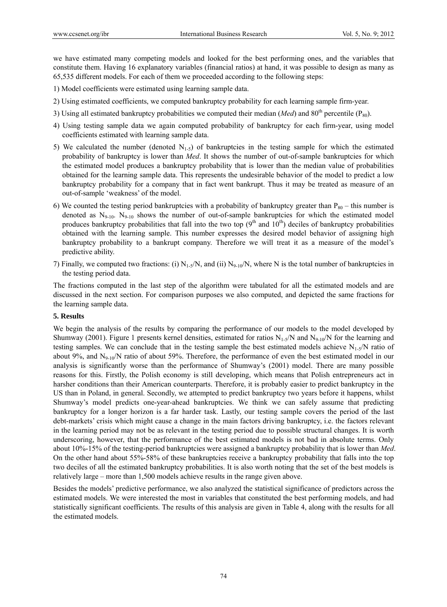we have estimated many competing models and looked for the best performing ones, and the variables that constitute them. Having 16 explanatory variables (financial ratios) at hand, it was possible to design as many as 65,535 different models. For each of them we proceeded according to the following steps:

- 1) Model coefficients were estimated using learning sample data.
- 2) Using estimated coefficients, we computed bankruptcy probability for each learning sample firm-year.
- 3) Using all estimated bankruptcy probabilities we computed their median (*Med*) and  $80<sup>th</sup>$  percentile ( $P_{80}$ ).
- 4) Using testing sample data we again computed probability of bankruptcy for each firm-year, using model coefficients estimated with learning sample data.
- 5) We calculated the number (denoted  $N<sub>1-5</sub>$ ) of bankruptcies in the testing sample for which the estimated probability of bankruptcy is lower than *Med*. It shows the number of out-of-sample bankruptcies for which the estimated model produces a bankruptcy probability that is lower than the median value of probabilities obtained for the learning sample data. This represents the undesirable behavior of the model to predict a low bankruptcy probability for a company that in fact went bankrupt. Thus it may be treated as measure of an out-of-sample 'weakness' of the model.
- 6) We counted the testing period bankruptcies with a probability of bankruptcy greater than  $P_{80}$  this number is denoted as  $N_{9-10}$ .  $N_{9-10}$  shows the number of out-of-sample bankruptcies for which the estimated model produces bankruptcy probabilities that fall into the two top  $(9<sup>th</sup>$  and  $10<sup>th</sup>)$  deciles of bankruptcy probabilities obtained with the learning sample. This number expresses the desired model behavior of assigning high bankruptcy probability to a bankrupt company. Therefore we will treat it as a measure of the model's predictive ability.
- 7) Finally, we computed two fractions: (i)  $N_{1-5}/N$ , and (ii)  $N_{9-10}/N$ , where N is the total number of bankruptcies in the testing period data.

The fractions computed in the last step of the algorithm were tabulated for all the estimated models and are discussed in the next section. For comparison purposes we also computed, and depicted the same fractions for the learning sample data.

## **5. Results**

We begin the analysis of the results by comparing the performance of our models to the model developed by Shumway (2001). Figure 1 presents kernel densities, estimated for ratios  $N_{1-5}/N$  and  $N_{9-10}/N$  for the learning and testing samples. We can conclude that in the testing sample the best estimated models achieve  $N_{1-5}/N$  ratio of about 9%, and  $N_{9-10}/N$  ratio of about 59%. Therefore, the performance of even the best estimated model in our analysis is significantly worse than the performance of Shumway's (2001) model. There are many possible reasons for this. Firstly, the Polish economy is still developing, which means that Polish entrepreneurs act in harsher conditions than their American counterparts. Therefore, it is probably easier to predict bankruptcy in the US than in Poland, in general. Secondly, we attempted to predict bankruptcy two years before it happens, whilst Shumway's model predicts one-year-ahead bankruptcies. We think we can safely assume that predicting bankruptcy for a longer horizon is a far harder task. Lastly, our testing sample covers the period of the last debt-markets' crisis which might cause a change in the main factors driving bankruptcy, i.e. the factors relevant in the learning period may not be as relevant in the testing period due to possible structural changes. It is worth underscoring, however, that the performance of the best estimated models is not bad in absolute terms. Only about 10%-15% of the testing-period bankruptcies were assigned a bankruptcy probability that is lower than *Med*. On the other hand about 55%-58% of these bankruptcies receive a bankruptcy probability that falls into the top two deciles of all the estimated bankruptcy probabilities. It is also worth noting that the set of the best models is relatively large – more than 1,500 models achieve results in the range given above.

Besides the models' predictive performance, we also analyzed the statistical significance of predictors across the estimated models. We were interested the most in variables that constituted the best performing models, and had statistically significant coefficients. The results of this analysis are given in Table 4, along with the results for all the estimated models.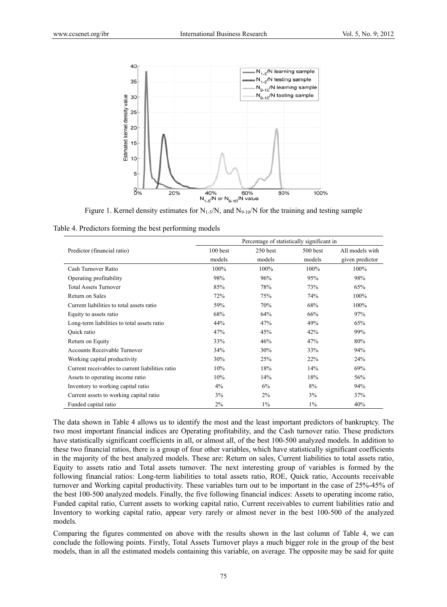

Figure 1. Kernel density estimates for  $N_{1-5}/N$ , and  $N_{9-10}/N$  for the training and testing sample

|  |  | Table 4. Predictors forming the best performing models |  |
|--|--|--------------------------------------------------------|--|
|  |  |                                                        |  |

|                                                  | Percentage of statistically significant in |            |          |                 |  |  |  |  |
|--------------------------------------------------|--------------------------------------------|------------|----------|-----------------|--|--|--|--|
| Predictor (financial ratio)                      | $100$ best                                 | $250$ best | 500 best | All models with |  |  |  |  |
|                                                  | models                                     | models     | models   | given predictor |  |  |  |  |
| Cash Turnover Ratio                              | 100%                                       | 100%       | 100%     | 100%            |  |  |  |  |
| Operating profitability                          | 98%                                        | 96%        | 95%      | 98%             |  |  |  |  |
| <b>Total Assets Turnover</b>                     | 85%                                        | 78%        | 73%      | 65%             |  |  |  |  |
| Return on Sales                                  | 72%                                        | 75%        | 74%      | 100%            |  |  |  |  |
| Current liabilities to total assets ratio        | 59%                                        | 70%        | 68%      | 100%            |  |  |  |  |
| Equity to assets ratio                           | 68%                                        | 64%        | 66%      | 97%             |  |  |  |  |
| Long-term liabilities to total assets ratio      | 44%                                        | 47%        | 49%      | 65%             |  |  |  |  |
| Quick ratio                                      | 47%                                        | 45%        | 42%      | 99%             |  |  |  |  |
| Return on Equity                                 | 33%                                        | 46%        | 47%      | 80%             |  |  |  |  |
| <b>Accounts Receivable Turnover</b>              | 34%                                        | 30%        | 33%      | 94%             |  |  |  |  |
| Working capital productivity                     | 30%                                        | 25%        | 22%      | 24%             |  |  |  |  |
| Current receivables to current liabilities ratio | 10%                                        | 18%        | 14%      | 69%             |  |  |  |  |
| Assets to operating income ratio                 | 10%                                        | 14%        | 18%      | 56%             |  |  |  |  |
| Inventory to working capital ratio               | 4%                                         | 6%         | 8%       | 94%             |  |  |  |  |
| Current assets to working capital ratio          | 3%                                         | $2\%$      | 3%       | 37%             |  |  |  |  |
| Funded capital ratio                             | 2%                                         | $1\%$      | $1\%$    | 40%             |  |  |  |  |

The data shown in Table 4 allows us to identify the most and the least important predictors of bankruptcy. The two most important financial indices are Operating profitability, and the Cash turnover ratio. These predictors have statistically significant coefficients in all, or almost all, of the best 100-500 analyzed models. In addition to these two financial ratios, there is a group of four other variables, which have statistically significant coefficients in the majority of the best analyzed models. These are: Return on sales, Current liabilities to total assets ratio, Equity to assets ratio and Total assets turnover. The next interesting group of variables is formed by the following financial ratios: Long-term liabilities to total assets ratio, ROE, Quick ratio, Accounts receivable turnover and Working capital productivity. These variables turn out to be important in the case of 25%-45% of the best 100-500 analyzed models. Finally, the five following financial indices: Assets to operating income ratio, Funded capital ratio, Current assets to working capital ratio, Current receivables to current liabilities ratio and Inventory to working capital ratio, appear very rarely or almost never in the best 100-500 of the analyzed models.

Comparing the figures commented on above with the results shown in the last column of Table 4, we can conclude the following points. Firstly, Total Assets Turnover plays a much bigger role in the group of the best models, than in all the estimated models containing this variable, on average. The opposite may be said for quite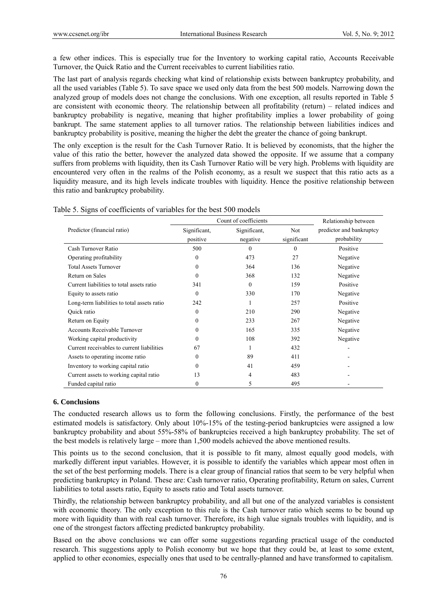a few other indices. This is especially true for the Inventory to working capital ratio, Accounts Receivable Turnover, the Quick Ratio and the Current receivables to current liabilities ratio.

The last part of analysis regards checking what kind of relationship exists between bankruptcy probability, and all the used variables (Table 5). To save space we used only data from the best 500 models. Narrowing down the analyzed group of models does not change the conclusions. With one exception, all results reported in Table 5 are consistent with economic theory. The relationship between all profitability (return) – related indices and bankruptcy probability is negative, meaning that higher profitability implies a lower probability of going bankrupt. The same statement applies to all turnover ratios. The relationship between liabilities indices and bankruptcy probability is positive, meaning the higher the debt the greater the chance of going bankrupt.

The only exception is the result for the Cash Turnover Ratio. It is believed by economists, that the higher the value of this ratio the better, however the analyzed data showed the opposite. If we assume that a company suffers from problems with liquidity, then its Cash Turnover Ratio will be very high. Problems with liquidity are encountered very often in the realms of the Polish economy, as a result we suspect that this ratio acts as a liquidity measure, and its high levels indicate troubles with liquidity. Hence the positive relationship between this ratio and bankruptcy probability.

|                                             | Count of coefficients | Relationship between |             |                          |
|---------------------------------------------|-----------------------|----------------------|-------------|--------------------------|
| Predictor (financial ratio)                 | Significant,          | Significant,         | Not         | predictor and bankruptcy |
|                                             | positive              | negative             | significant | probability              |
| Cash Turnover Ratio                         | 500                   | $\Omega$             | $\theta$    | Positive                 |
| Operating profitability                     | $\theta$              | 473                  | 27          | Negative                 |
| <b>Total Assets Turnover</b>                | 0                     | 364                  | 136         | Negative                 |
| Return on Sales                             | 0                     | 368                  | 132         | Negative                 |
| Current liabilities to total assets ratio   | 341                   | $\theta$             | 159         | Positive                 |
| Equity to assets ratio                      | $\Omega$              | 330                  | 170         | Negative                 |
| Long-term liabilities to total assets ratio | 242                   |                      | 257         | Positive                 |
| Quick ratio                                 | 0                     | 210                  | 290         | Negative                 |
| Return on Equity                            | 0                     | 233                  | 267         | Negative                 |
| Accounts Receivable Turnover                | 0                     | 165                  | 335         | Negative                 |
| Working capital productivity                | 0                     | 108                  | 392         | Negative                 |
| Current receivables to current liabilities  | 67                    |                      | 432         |                          |
| Assets to operating income ratio            | 0                     | 89                   | 411         |                          |
| Inventory to working capital ratio          | 0                     | 41                   | 459         |                          |
| Current assets to working capital ratio     | 13                    | 4                    | 483         |                          |
| Funded capital ratio                        | 0                     | 5                    | 495         |                          |

Table 5. Signs of coefficients of variables for the best 500 models

## **6. Conclusions**

The conducted research allows us to form the following conclusions. Firstly, the performance of the best estimated models is satisfactory. Only about 10%-15% of the testing-period bankruptcies were assigned a low bankruptcy probability and about 55%-58% of bankruptcies received a high bankruptcy probability. The set of the best models is relatively large – more than 1,500 models achieved the above mentioned results.

This points us to the second conclusion, that it is possible to fit many, almost equally good models, with markedly different input variables. However, it is possible to identify the variables which appear most often in the set of the best performing models. There is a clear group of financial ratios that seem to be very helpful when predicting bankruptcy in Poland. These are: Cash turnover ratio, Operating profitability, Return on sales, Current liabilities to total assets ratio, Equity to assets ratio and Total assets turnover.

Thirdly, the relationship between bankruptcy probability, and all but one of the analyzed variables is consistent with economic theory. The only exception to this rule is the Cash turnover ratio which seems to be bound up more with liquidity than with real cash turnover. Therefore, its high value signals troubles with liquidity, and is one of the strongest factors affecting predicted bankruptcy probability.

Based on the above conclusions we can offer some suggestions regarding practical usage of the conducted research. This suggestions apply to Polish economy but we hope that they could be, at least to some extent, applied to other economies, especially ones that used to be centrally-planned and have transformed to capitalism.